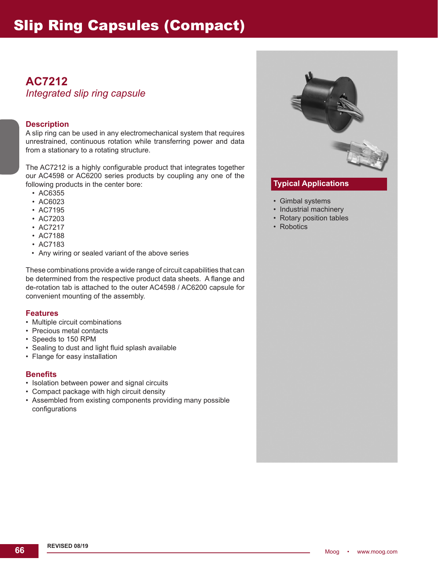# **AC7212** *Integrated slip ring capsule*

#### **Description**

A slip ring can be used in any electromechanical system that requires unrestrained, continuous rotation while transferring power and data from a stationary to a rotating structure.

The AC7212 is a highly configurable product that integrates together our AC4598 or AC6200 series products by coupling any one of the following products in the center bore:

- AC6355
- AC6023
- AC7195
- AC7203
- AC7217
- AC7188
- AC7183
- Any wiring or sealed variant of the above series

These combinations provide a wide range of circuit capabilities that can be determined from the respective product data sheets. A flange and de-rotation tab is attached to the outer AC4598 / AC6200 capsule for convenient mounting of the assembly.

#### **Features**

- Multiple circuit combinations
- Precious metal contacts
- Speeds to 150 RPM
- Sealing to dust and light fluid splash available
- Flange for easy installation

#### **Benefits**

- Isolation between power and signal circuits
- Compact package with high circuit density
- Assembled from existing components providing many possible configurations



## **Typical Applications**

- Gimbal systems
- Industrial machinery
- Rotary position tables
- Robotics